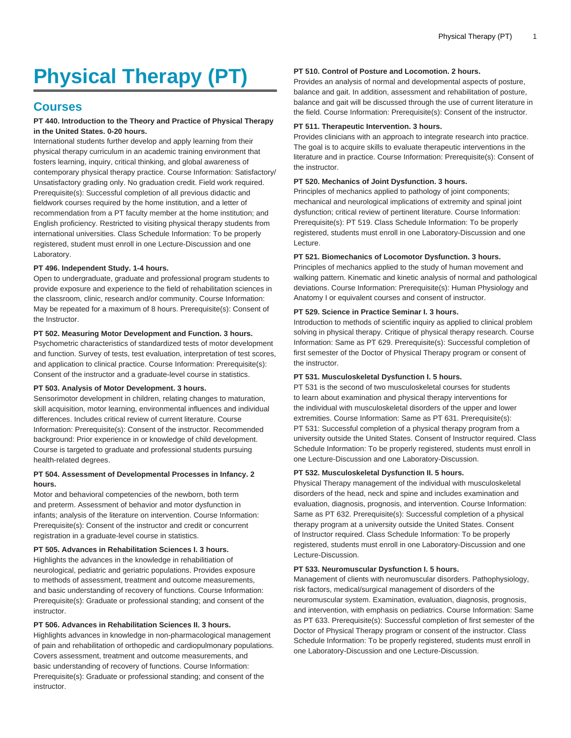# **Physical Therapy (PT)**

# **Courses**

# **PT 440. Introduction to the Theory and Practice of Physical Therapy in the United States. 0-20 hours.**

International students further develop and apply learning from their physical therapy curriculum in an academic training environment that fosters learning, inquiry, critical thinking, and global awareness of contemporary physical therapy practice. Course Information: Satisfactory/ Unsatisfactory grading only. No graduation credit. Field work required. Prerequisite(s): Successful completion of all previous didactic and fieldwork courses required by the home institution, and a letter of recommendation from a PT faculty member at the home institution; and English proficiency. Restricted to visiting physical therapy students from international universities. Class Schedule Information: To be properly registered, student must enroll in one Lecture-Discussion and one Laboratory.

# **PT 496. Independent Study. 1-4 hours.**

Open to undergraduate, graduate and professional program students to provide exposure and experience to the field of rehabilitation sciences in the classroom, clinic, research and/or community. Course Information: May be repeated for a maximum of 8 hours. Prerequisite(s): Consent of the Instructor.

# **PT 502. Measuring Motor Development and Function. 3 hours.**

Psychometric characteristics of standardized tests of motor development and function. Survey of tests, test evaluation, interpretation of test scores, and application to clinical practice. Course Information: Prerequisite(s): Consent of the instructor and a graduate-level course in statistics.

#### **PT 503. Analysis of Motor Development. 3 hours.**

Sensorimotor development in children, relating changes to maturation, skill acquisition, motor learning, environmental influences and individual differences. Includes critical review of current literature. Course Information: Prerequisite(s): Consent of the instructor. Recommended background: Prior experience in or knowledge of child development. Course is targeted to graduate and professional students pursuing health-related degrees.

# **PT 504. Assessment of Developmental Processes in Infancy. 2 hours.**

Motor and behavioral competencies of the newborn, both term and preterm. Assessment of behavior and motor dysfunction in infants; analysis of the literature on intervention. Course Information: Prerequisite(s): Consent of the instructor and credit or concurrent registration in a graduate-level course in statistics.

# **PT 505. Advances in Rehabilitation Sciences I. 3 hours.**

Highlights the advances in the knowledge in rehabilitiation of neurological, pediatric and geriatric populations. Provides exposure to methods of assessment, treatment and outcome measurements, and basic understanding of recovery of functions. Course Information: Prerequisite(s): Graduate or professional standing; and consent of the instructor.

# **PT 506. Advances in Rehabilitation Sciences II. 3 hours.**

Highlights advances in knowledge in non-pharmacological management of pain and rehabilitation of orthopedic and cardiopulmonary populations. Covers assessment, treatment and outcome measurements, and basic understanding of recovery of functions. Course Information: Prerequisite(s): Graduate or professional standing; and consent of the instructor.

# **PT 510. Control of Posture and Locomotion. 2 hours.**

Provides an analysis of normal and developmental aspects of posture, balance and gait. In addition, assessment and rehabilitation of posture, balance and gait will be discussed through the use of current literature in the field. Course Information: Prerequisite(s): Consent of the instructor.

#### **PT 511. Therapeutic Intervention. 3 hours.**

Provides clinicians with an approach to integrate research into practice. The goal is to acquire skills to evaluate therapeutic interventions in the literature and in practice. Course Information: Prerequisite(s): Consent of the instructor.

#### **PT 520. Mechanics of Joint Dysfunction. 3 hours.**

Principles of mechanics applied to pathology of joint components; mechanical and neurological implications of extremity and spinal joint dysfunction; critical review of pertinent literature. Course Information: Prerequisite(s): PT 519. Class Schedule Information: To be properly registered, students must enroll in one Laboratory-Discussion and one Lecture.

# **PT 521. Biomechanics of Locomotor Dysfunction. 3 hours.**

Principles of mechanics applied to the study of human movement and walking pattern. Kinematic and kinetic analysis of normal and pathological deviations. Course Information: Prerequisite(s): Human Physiology and Anatomy I or equivalent courses and consent of instructor.

#### **PT 529. Science in Practice Seminar I. 3 hours.**

Introduction to methods of scientific inquiry as applied to clinical problem solving in physical therapy. Critique of physical therapy research. Course Information: Same as PT 629. Prerequisite(s): Successful completion of first semester of the Doctor of Physical Therapy program or consent of the instructor.

#### **PT 531. Musculoskeletal Dysfunction I. 5 hours.**

PT 531 is the second of two musculoskeletal courses for students to learn about examination and physical therapy interventions for the individual with musculoskeletal disorders of the upper and lower extremities. Course Information: Same as PT 631. Prerequisite(s): PT 531: Successful completion of a physical therapy program from a university outside the United States. Consent of Instructor required. Class Schedule Information: To be properly registered, students must enroll in one Lecture-Discussion and one Laboratory-Discussion.

#### **PT 532. Musculoskeletal Dysfunction II. 5 hours.**

Physical Therapy management of the individual with musculoskeletal disorders of the head, neck and spine and includes examination and evaluation, diagnosis, prognosis, and intervention. Course Information: Same as PT 632. Prerequisite(s): Successful completion of a physical therapy program at a university outside the United States. Consent of Instructor required. Class Schedule Information: To be properly registered, students must enroll in one Laboratory-Discussion and one Lecture-Discussion.

#### **PT 533. Neuromuscular Dysfunction I. 5 hours.**

Management of clients with neuromuscular disorders. Pathophysiology, risk factors, medical/surgical management of disorders of the neuromuscular system. Examination, evaluation, diagnosis, prognosis, and intervention, with emphasis on pediatrics. Course Information: Same as PT 633. Prerequisite(s): Successful completion of first semester of the Doctor of Physical Therapy program or consent of the instructor. Class Schedule Information: To be properly registered, students must enroll in one Laboratory-Discussion and one Lecture-Discussion.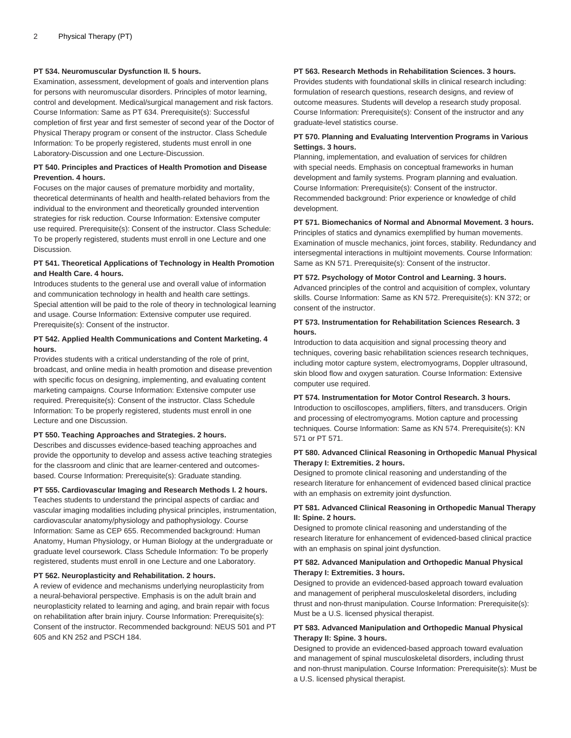# **PT 534. Neuromuscular Dysfunction II. 5 hours.**

Examination, assessment, development of goals and intervention plans for persons with neuromuscular disorders. Principles of motor learning, control and development. Medical/surgical management and risk factors. Course Information: Same as PT 634. Prerequisite(s): Successful completion of first year and first semester of second year of the Doctor of Physical Therapy program or consent of the instructor. Class Schedule Information: To be properly registered, students must enroll in one Laboratory-Discussion and one Lecture-Discussion.

#### **PT 540. Principles and Practices of Health Promotion and Disease Prevention. 4 hours.**

Focuses on the major causes of premature morbidity and mortality, theoretical determinants of health and health-related behaviors from the individual to the environment and theoretically grounded intervention strategies for risk reduction. Course Information: Extensive computer use required. Prerequisite(s): Consent of the instructor. Class Schedule: To be properly registered, students must enroll in one Lecture and one Discussion.

#### **PT 541. Theoretical Applications of Technology in Health Promotion and Health Care. 4 hours.**

Introduces students to the general use and overall value of information and communication technology in health and health care settings. Special attention will be paid to the role of theory in technological learning and usage. Course Information: Extensive computer use required. Prerequisite(s): Consent of the instructor.

#### **PT 542. Applied Health Communications and Content Marketing. 4 hours.**

Provides students with a critical understanding of the role of print, broadcast, and online media in health promotion and disease prevention with specific focus on designing, implementing, and evaluating content marketing campaigns. Course Information: Extensive computer use required. Prerequisite(s): Consent of the instructor. Class Schedule Information: To be properly registered, students must enroll in one Lecture and one Discussion.

#### **PT 550. Teaching Approaches and Strategies. 2 hours.**

Describes and discusses evidence-based teaching approaches and provide the opportunity to develop and assess active teaching strategies for the classroom and clinic that are learner-centered and outcomesbased. Course Information: Prerequisite(s): Graduate standing.

#### **PT 555. Cardiovascular Imaging and Research Methods I. 2 hours.**

Teaches students to understand the principal aspects of cardiac and vascular imaging modalities including physical principles, instrumentation, cardiovascular anatomy/physiology and pathophysiology. Course Information: Same as CEP 655. Recommended background: Human Anatomy, Human Physiology, or Human Biology at the undergraduate or graduate level coursework. Class Schedule Information: To be properly registered, students must enroll in one Lecture and one Laboratory.

#### **PT 562. Neuroplasticity and Rehabilitation. 2 hours.**

A review of evidence and mechanisms underlying neuroplasticity from a neural-behavioral perspective. Emphasis is on the adult brain and neuroplasticity related to learning and aging, and brain repair with focus on rehabilitation after brain injury. Course Information: Prerequisite(s): Consent of the instructor. Recommended background: NEUS 501 and PT 605 and KN 252 and PSCH 184.

# **PT 563. Research Methods in Rehabilitation Sciences. 3 hours.**

Provides students with foundational skills in clinical research including: formulation of research questions, research designs, and review of outcome measures. Students will develop a research study proposal. Course Information: Prerequisite(s): Consent of the instructor and any graduate-level statistics course.

#### **PT 570. Planning and Evaluating Intervention Programs in Various Settings. 3 hours.**

Planning, implementation, and evaluation of services for children with special needs. Emphasis on conceptual frameworks in human development and family systems. Program planning and evaluation. Course Information: Prerequisite(s): Consent of the instructor. Recommended background: Prior experience or knowledge of child development.

#### **PT 571. Biomechanics of Normal and Abnormal Movement. 3 hours.**

Principles of statics and dynamics exemplified by human movements. Examination of muscle mechanics, joint forces, stability. Redundancy and intersegmental interactions in multijoint movements. Course Information: Same as KN 571. Prerequisite(s): Consent of the instructor.

#### **PT 572. Psychology of Motor Control and Learning. 3 hours.**

Advanced principles of the control and acquisition of complex, voluntary skills. Course Information: Same as KN 572. Prerequisite(s): KN 372; or consent of the instructor.

# **PT 573. Instrumentation for Rehabilitation Sciences Research. 3 hours.**

Introduction to data acquisition and signal processing theory and techniques, covering basic rehabilitation sciences research techniques, including motor capture system, electromyograms, Doppler ultrasound, skin blood flow and oxygen saturation. Course Information: Extensive computer use required.

#### **PT 574. Instrumentation for Motor Control Research. 3 hours.**

Introduction to oscilloscopes, amplifiers, filters, and transducers. Origin and processing of electromyograms. Motion capture and processing techniques. Course Information: Same as KN 574. Prerequisite(s): KN 571 or PT 571.

#### **PT 580. Advanced Clinical Reasoning in Orthopedic Manual Physical Therapy I: Extremities. 2 hours.**

Designed to promote clinical reasoning and understanding of the research literature for enhancement of evidenced based clinical practice with an emphasis on extremity joint dysfunction.

# **PT 581. Advanced Clinical Reasoning in Orthopedic Manual Therapy II: Spine. 2 hours.**

Designed to promote clinical reasoning and understanding of the research literature for enhancement of evidenced-based clinical practice with an emphasis on spinal joint dysfunction.

#### **PT 582. Advanced Manipulation and Orthopedic Manual Physical Therapy I: Extremities. 3 hours.**

Designed to provide an evidenced-based approach toward evaluation and management of peripheral musculoskeletal disorders, including thrust and non-thrust manipulation. Course Information: Prerequisite(s): Must be a U.S. licensed physical therapist.

#### **PT 583. Advanced Manipulation and Orthopedic Manual Physical Therapy II: Spine. 3 hours.**

Designed to provide an evidenced-based approach toward evaluation and management of spinal musculoskeletal disorders, including thrust and non-thrust manipulation. Course Information: Prerequisite(s): Must be a U.S. licensed physical therapist.